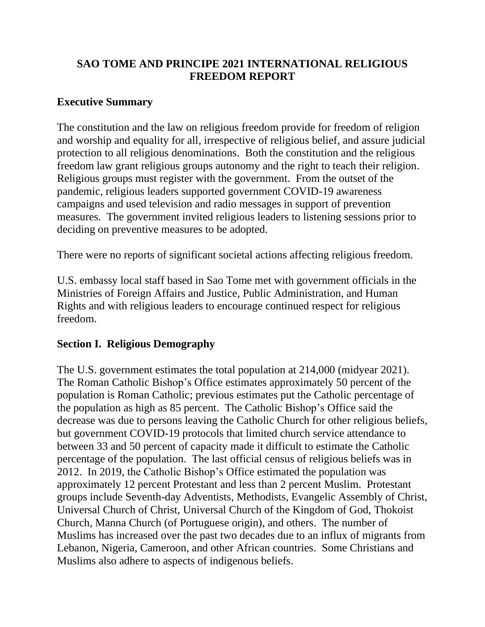# **SAO TOME AND PRINCIPE 2021 INTERNATIONAL RELIGIOUS FREEDOM REPORT**

### **Executive Summary**

The constitution and the law on religious freedom provide for freedom of religion and worship and equality for all, irrespective of religious belief, and assure judicial protection to all religious denominations. Both the constitution and the religious freedom law grant religious groups autonomy and the right to teach their religion. Religious groups must register with the government. From the outset of the pandemic, religious leaders supported government COVID-19 awareness campaigns and used television and radio messages in support of prevention measures. The government invited religious leaders to listening sessions prior to deciding on preventive measures to be adopted.

There were no reports of significant societal actions affecting religious freedom.

U.S. embassy local staff based in Sao Tome met with government officials in the Ministries of Foreign Affairs and Justice, Public Administration, and Human Rights and with religious leaders to encourage continued respect for religious freedom.

### **Section I. Religious Demography**

The U.S. government estimates the total population at 214,000 (midyear 2021). The Roman Catholic Bishop's Office estimates approximately 50 percent of the population is Roman Catholic; previous estimates put the Catholic percentage of the population as high as 85 percent. The Catholic Bishop's Office said the decrease was due to persons leaving the Catholic Church for other religious beliefs, but government COVID-19 protocols that limited church service attendance to between 33 and 50 percent of capacity made it difficult to estimate the Catholic percentage of the population. The last official census of religious beliefs was in 2012. In 2019, the Catholic Bishop's Office estimated the population was approximately 12 percent Protestant and less than 2 percent Muslim. Protestant groups include Seventh-day Adventists, Methodists, Evangelic Assembly of Christ, Universal Church of Christ, Universal Church of the Kingdom of God, Thokoist Church, Manna Church (of Portuguese origin), and others. The number of Muslims has increased over the past two decades due to an influx of migrants from Lebanon, Nigeria, Cameroon, and other African countries. Some Christians and Muslims also adhere to aspects of indigenous beliefs.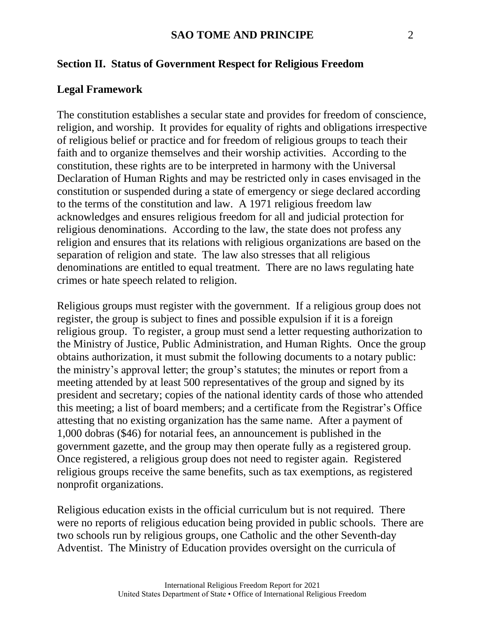#### **Section II. Status of Government Respect for Religious Freedom**

#### **Legal Framework**

The constitution establishes a secular state and provides for freedom of conscience, religion, and worship. It provides for equality of rights and obligations irrespective of religious belief or practice and for freedom of religious groups to teach their faith and to organize themselves and their worship activities. According to the constitution, these rights are to be interpreted in harmony with the Universal Declaration of Human Rights and may be restricted only in cases envisaged in the constitution or suspended during a state of emergency or siege declared according to the terms of the constitution and law. A 1971 religious freedom law acknowledges and ensures religious freedom for all and judicial protection for religious denominations. According to the law, the state does not profess any religion and ensures that its relations with religious organizations are based on the separation of religion and state. The law also stresses that all religious denominations are entitled to equal treatment. There are no laws regulating hate crimes or hate speech related to religion.

Religious groups must register with the government. If a religious group does not register, the group is subject to fines and possible expulsion if it is a foreign religious group. To register, a group must send a letter requesting authorization to the Ministry of Justice, Public Administration, and Human Rights. Once the group obtains authorization, it must submit the following documents to a notary public: the ministry's approval letter; the group's statutes; the minutes or report from a meeting attended by at least 500 representatives of the group and signed by its president and secretary; copies of the national identity cards of those who attended this meeting; a list of board members; and a certificate from the Registrar's Office attesting that no existing organization has the same name. After a payment of 1,000 dobras (\$46) for notarial fees, an announcement is published in the government gazette, and the group may then operate fully as a registered group. Once registered, a religious group does not need to register again. Registered religious groups receive the same benefits, such as tax exemptions, as registered nonprofit organizations.

Religious education exists in the official curriculum but is not required. There were no reports of religious education being provided in public schools. There are two schools run by religious groups, one Catholic and the other Seventh-day Adventist. The Ministry of Education provides oversight on the curricula of